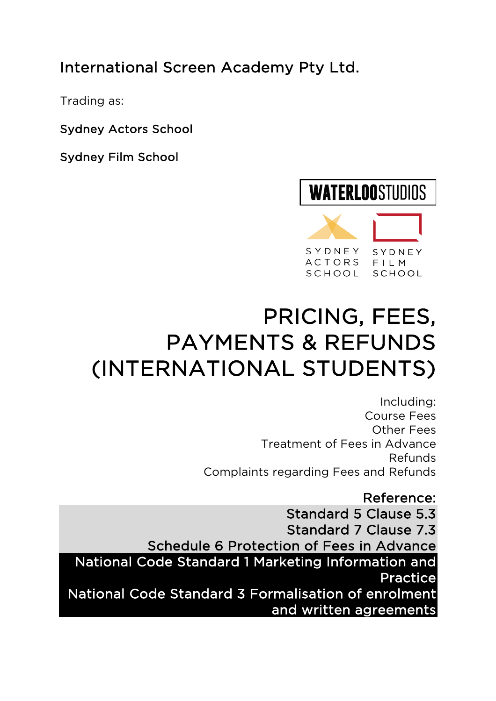## International Screen Academy Pty Ltd.

Trading as:

Sydney Actors School

Sydney Film School

## **WATERLOOSTUDIOS** SYDNEY SYDNEY **ACTORS**  $F11M$

SCHOOL

# PRICING, FEES, PAYMENTS & REFUNDS (INTERNATIONAL STUDENTS)

Including: Course Fees Other Fees Treatment of Fees in Advance Refunds Complaints regarding Fees and Refunds

SCHOOL

Reference: Standard 5 Clause 5.3 Standard 7 Clause 7.3 Schedule 6 Protection of Fees in Advance National Code Standard 1 Marketing Information and Practice National Code Standard 3 Formalisation of enrolment and written agreements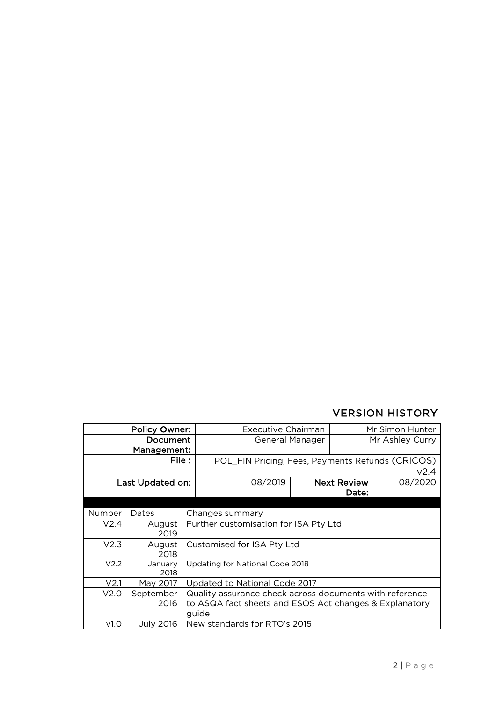### VERSION HISTORY

| <b>Policy Owner:</b> |                 | Executive Chairman                                              |                              | Mr Simon Hunter    |         |  |
|----------------------|-----------------|-----------------------------------------------------------------|------------------------------|--------------------|---------|--|
| Document             |                 | General Manager                                                 |                              | Mr Ashley Curry    |         |  |
| Management:          |                 |                                                                 |                              |                    |         |  |
| File :               |                 | POL_FIN Pricing, Fees, Payments Refunds (CRICOS)                |                              |                    |         |  |
|                      |                 |                                                                 |                              |                    | V2.4    |  |
| Last Updated on:     |                 | 08/2019                                                         |                              | <b>Next Review</b> | 08/2020 |  |
|                      |                 | Date:                                                           |                              |                    |         |  |
|                      |                 |                                                                 |                              |                    |         |  |
| Number               | Dates           |                                                                 | Changes summary              |                    |         |  |
| V2.4                 | August<br>2019  | Further customisation for ISA Pty Ltd                           |                              |                    |         |  |
| V2.3                 | August<br>2018  | Customised for ISA Pty Ltd                                      |                              |                    |         |  |
| V <sub>2.2</sub>     | January<br>2018 | Updating for National Code 2018                                 |                              |                    |         |  |
| V <sub>2.1</sub>     | May 2017        | Updated to National Code 2017                                   |                              |                    |         |  |
| V2.0                 | September       | Quality assurance check across documents with reference         |                              |                    |         |  |
|                      | 2016            | to ASQA fact sheets and ESOS Act changes & Explanatory<br>guide |                              |                    |         |  |
| v1.0                 | July 2016       |                                                                 | New standards for RTO's 2015 |                    |         |  |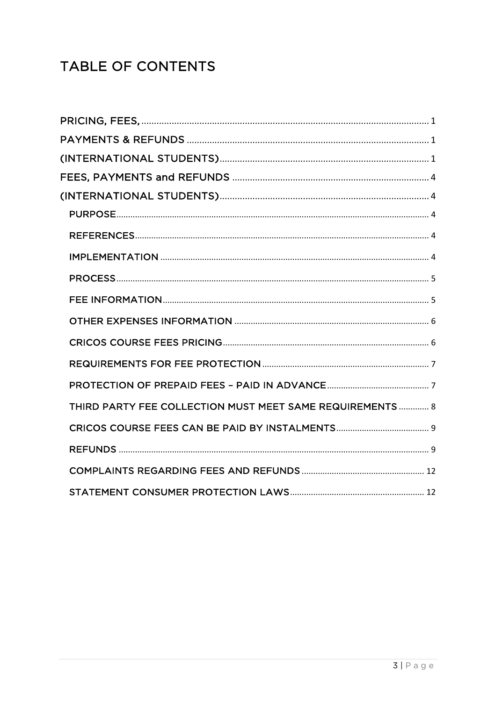## TABLE OF CONTENTS

| THIRD PARTY FEE COLLECTION MUST MEET SAME REQUIREMENTS 8 |
|----------------------------------------------------------|
|                                                          |
|                                                          |
|                                                          |
|                                                          |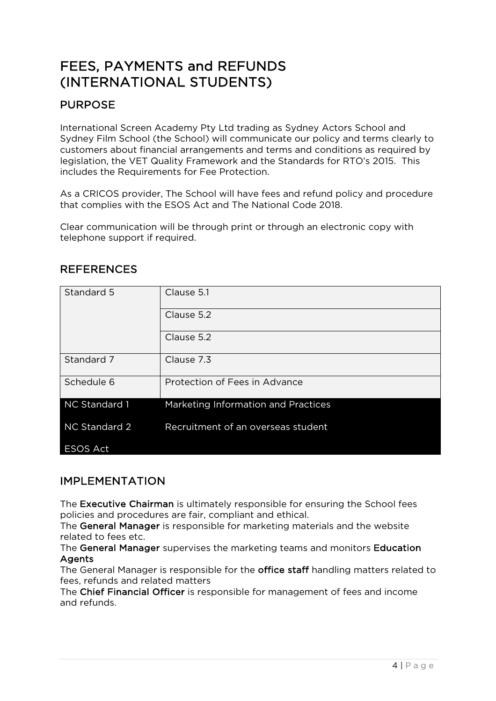## FEES, PAYMENTS and REFUNDS (INTERNATIONAL STUDENTS)

## PURPOSE

International Screen Academy Pty Ltd trading as Sydney Actors School and Sydney Film School (the School) will communicate our policy and terms clearly to customers about financial arrangements and terms and conditions as required by legislation, the VET Quality Framework and the Standards for RTO's 2015. This includes the Requirements for Fee Protection.

As a CRICOS provider, The School will have fees and refund policy and procedure that complies with the ESOS Act and The National Code 2018.

Clear communication will be through print or through an electronic copy with telephone support if required.

| Standard 5      | Clause 5.1                          |  |
|-----------------|-------------------------------------|--|
|                 | Clause 5.2                          |  |
|                 | Clause 5.2                          |  |
| Standard 7      | Clause 7.3                          |  |
| Schedule 6      | Protection of Fees in Advance       |  |
| NC Standard 1   | Marketing Information and Practices |  |
| NC Standard 2   | Recruitment of an overseas student  |  |
| <b>ESOS Act</b> |                                     |  |

## **REFERENCES**

### IMPLEMENTATION

The Executive Chairman is ultimately responsible for ensuring the School fees policies and procedures are fair, compliant and ethical.

The General Manager is responsible for marketing materials and the website related to fees etc.

The General Manager supervises the marketing teams and monitors Education Agents

The General Manager is responsible for the office staff handling matters related to fees, refunds and related matters

The Chief Financial Officer is responsible for management of fees and income and refunds.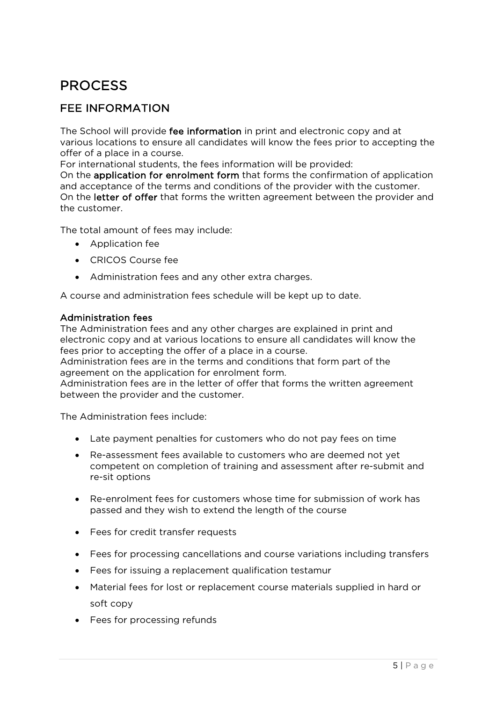## PROCESS

## FEE INFORMATION

The School will provide fee information in print and electronic copy and at various locations to ensure all candidates will know the fees prior to accepting the offer of a place in a course.

For international students, the fees information will be provided:

On the application for enrolment form that forms the confirmation of application and acceptance of the terms and conditions of the provider with the customer. On the letter of offer that forms the written agreement between the provider and the customer.

The total amount of fees may include:

- Application fee
- CRICOS Course fee
- Administration fees and any other extra charges.

A course and administration fees schedule will be kept up to date.

#### Administration fees

The Administration fees and any other charges are explained in print and electronic copy and at various locations to ensure all candidates will know the fees prior to accepting the offer of a place in a course.

Administration fees are in the terms and conditions that form part of the agreement on the application for enrolment form.

Administration fees are in the letter of offer that forms the written agreement between the provider and the customer.

The Administration fees include:

- Late payment penalties for customers who do not pay fees on time
- Re-assessment fees available to customers who are deemed not yet competent on completion of training and assessment after re-submit and re-sit options
- Re-enrolment fees for customers whose time for submission of work has passed and they wish to extend the length of the course
- Fees for credit transfer requests
- Fees for processing cancellations and course variations including transfers
- Fees for issuing a replacement qualification testamur
- Material fees for lost or replacement course materials supplied in hard or soft copy
- Fees for processing refunds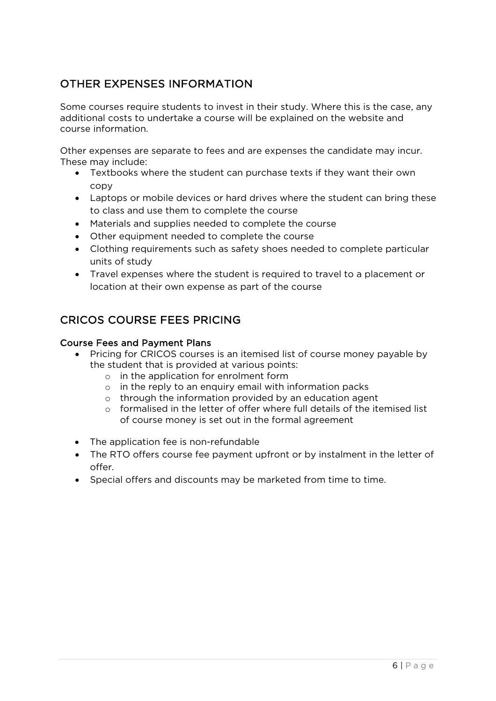## OTHER EXPENSES INFORMATION

Some courses require students to invest in their study. Where this is the case, any additional costs to undertake a course will be explained on the website and course information.

Other expenses are separate to fees and are expenses the candidate may incur. These may include:

- Textbooks where the student can purchase texts if they want their own copy
- Laptops or mobile devices or hard drives where the student can bring these to class and use them to complete the course
- Materials and supplies needed to complete the course
- Other equipment needed to complete the course
- Clothing requirements such as safety shoes needed to complete particular units of study
- Travel expenses where the student is required to travel to a placement or location at their own expense as part of the course

## CRICOS COURSE FEES PRICING

#### Course Fees and Payment Plans

- Pricing for CRICOS courses is an itemised list of course money payable by the student that is provided at various points:
	- o in the application for enrolment form
	- o in the reply to an enquiry email with information packs
	- o through the information provided by an education agent
	- o formalised in the letter of offer where full details of the itemised list of course money is set out in the formal agreement
- The application fee is non-refundable
- The RTO offers course fee payment upfront or by instalment in the letter of offer.
- Special offers and discounts may be marketed from time to time.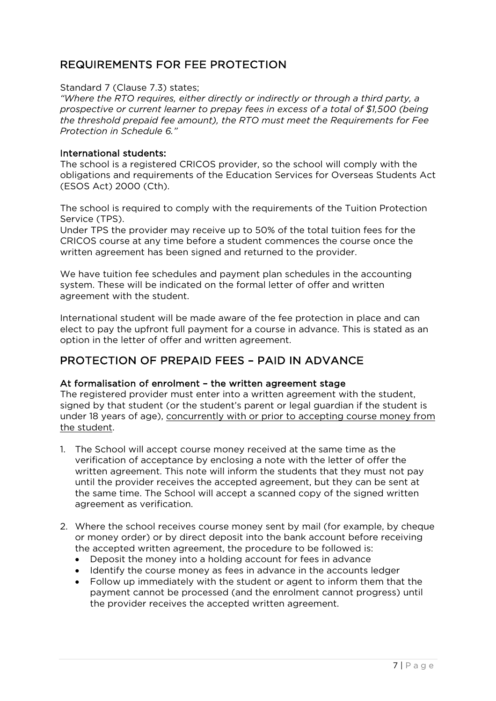## REQUIREMENTS FOR FEE PROTECTION

Standard 7 (Clause 7.3) states;

*"Where the RTO requires, either directly or indirectly or through a third party, a prospective or current learner to prepay fees in excess of a total of \$1,500 (being the threshold prepaid fee amount), the RTO must meet the Requirements for Fee Protection in Schedule 6."* 

#### International students:

The school is a registered CRICOS provider, so the school will comply with the obligations and requirements of the Education Services for Overseas Students Act (ESOS Act) 2000 (Cth).

The school is required to comply with the requirements of the Tuition Protection Service (TPS).

Under TPS the provider may receive up to 50% of the total tuition fees for the CRICOS course at any time before a student commences the course once the written agreement has been signed and returned to the provider.

We have tuition fee schedules and payment plan schedules in the accounting system. These will be indicated on the formal letter of offer and written agreement with the student.

International student will be made aware of the fee protection in place and can elect to pay the upfront full payment for a course in advance. This is stated as an option in the letter of offer and written agreement.

### PROTECTION OF PREPAID FEES – PAID IN ADVANCE

#### At formalisation of enrolment – the written agreement stage

The registered provider must enter into a written agreement with the student, signed by that student (or the student's parent or legal guardian if the student is under 18 years of age), concurrently with or prior to accepting course money from the student.

- 1. The School will accept course money received at the same time as the verification of acceptance by enclosing a note with the letter of offer the written agreement. This note will inform the students that they must not pay until the provider receives the accepted agreement, but they can be sent at the same time. The School will accept a scanned copy of the signed written agreement as verification.
- 2. Where the school receives course money sent by mail (for example, by cheque or money order) or by direct deposit into the bank account before receiving the accepted written agreement, the procedure to be followed is:
	- Deposit the money into a holding account for fees in advance
	- Identify the course money as fees in advance in the accounts ledger
	- Follow up immediately with the student or agent to inform them that the payment cannot be processed (and the enrolment cannot progress) until the provider receives the accepted written agreement.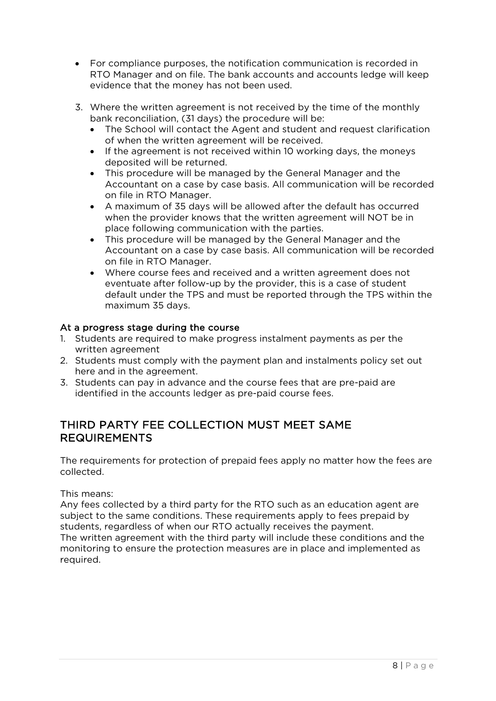- For compliance purposes, the notification communication is recorded in RTO Manager and on file. The bank accounts and accounts ledge will keep evidence that the money has not been used.
- 3. Where the written agreement is not received by the time of the monthly bank reconciliation, (31 days) the procedure will be:
	- The School will contact the Agent and student and request clarification of when the written agreement will be received.
	- If the agreement is not received within 10 working days, the moneys deposited will be returned.
	- This procedure will be managed by the General Manager and the Accountant on a case by case basis. All communication will be recorded on file in RTO Manager.
	- A maximum of 35 days will be allowed after the default has occurred when the provider knows that the written agreement will NOT be in place following communication with the parties.
	- This procedure will be managed by the General Manager and the Accountant on a case by case basis. All communication will be recorded on file in RTO Manager.
	- Where course fees and received and a written agreement does not eventuate after follow-up by the provider, this is a case of student default under the TPS and must be reported through the TPS within the maximum 35 days.

#### At a progress stage during the course

- 1. Students are required to make progress instalment payments as per the written agreement
- 2. Students must comply with the payment plan and instalments policy set out here and in the agreement.
- 3. Students can pay in advance and the course fees that are pre-paid are identified in the accounts ledger as pre-paid course fees.

### THIRD PARTY FEE COLLECTION MUST MEET SAME REQUIREMENTS

The requirements for protection of prepaid fees apply no matter how the fees are collected.

This means:

Any fees collected by a third party for the RTO such as an education agent are subject to the same conditions. These requirements apply to fees prepaid by students, regardless of when our RTO actually receives the payment. The written agreement with the third party will include these conditions and the monitoring to ensure the protection measures are in place and implemented as required.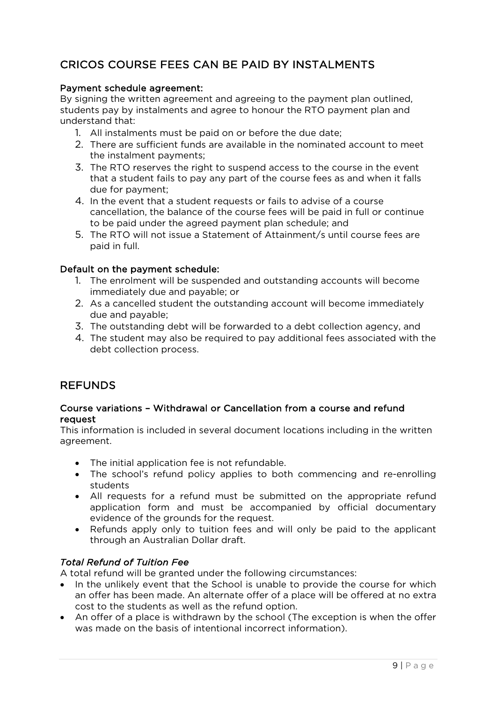## CRICOS COURSE FEES CAN BE PAID BY INSTALMENTS

#### Payment schedule agreement:

By signing the written agreement and agreeing to the payment plan outlined, students pay by instalments and agree to honour the RTO payment plan and understand that:

- 1. All instalments must be paid on or before the due date;
- 2. There are sufficient funds are available in the nominated account to meet the instalment payments;
- 3. The RTO reserves the right to suspend access to the course in the event that a student fails to pay any part of the course fees as and when it falls due for payment;
- 4. In the event that a student requests or fails to advise of a course cancellation, the balance of the course fees will be paid in full or continue to be paid under the agreed payment plan schedule; and
- 5. The RTO will not issue a Statement of Attainment/s until course fees are paid in full.

#### Default on the payment schedule:

- 1. The enrolment will be suspended and outstanding accounts will become immediately due and payable; or
- 2. As a cancelled student the outstanding account will become immediately due and payable;
- 3. The outstanding debt will be forwarded to a debt collection agency, and
- 4. The student may also be required to pay additional fees associated with the debt collection process.

### REFUNDS

#### Course variations – Withdrawal or Cancellation from a course and refund request

This information is included in several document locations including in the written agreement.

- The initial application fee is not refundable.
- The school's refund policy applies to both commencing and re-enrolling students
- All requests for a refund must be submitted on the appropriate refund application form and must be accompanied by official documentary evidence of the grounds for the request.
- Refunds apply only to tuition fees and will only be paid to the applicant through an Australian Dollar draft.

#### *Total Refund of Tuition Fee*

A total refund will be granted under the following circumstances:

- In the unlikely event that the School is unable to provide the course for which an offer has been made. An alternate offer of a place will be offered at no extra cost to the students as well as the refund option.
- An offer of a place is withdrawn by the school (The exception is when the offer was made on the basis of intentional incorrect information).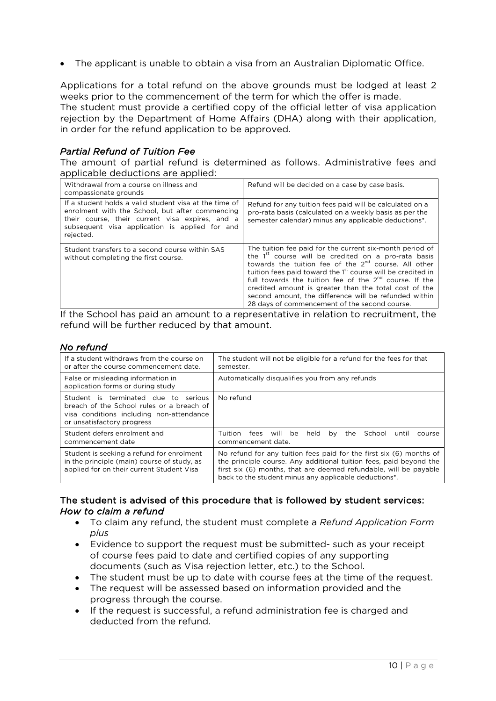• The applicant is unable to obtain a visa from an Australian Diplomatic Office.

Applications for a total refund on the above grounds must be lodged at least 2 weeks prior to the commencement of the term for which the offer is made.

The student must provide a certified copy of the official letter of visa application rejection by the Department of Home Affairs (DHA) along with their application, in order for the refund application to be approved.

#### *Partial Refund of Tuition Fee*

The amount of partial refund is determined as follows. Administrative fees and applicable deductions are applied:

| Withdrawal from a course on illness and<br>compassionate grounds                                                                                                                                                            | Refund will be decided on a case by case basis.                                                                                                                                                                                                                                                                                                                                                                                                                                                              |
|-----------------------------------------------------------------------------------------------------------------------------------------------------------------------------------------------------------------------------|--------------------------------------------------------------------------------------------------------------------------------------------------------------------------------------------------------------------------------------------------------------------------------------------------------------------------------------------------------------------------------------------------------------------------------------------------------------------------------------------------------------|
| If a student holds a valid student visa at the time of<br>enrolment with the School, but after commencing<br>their course, their current visa expires, and a<br>subsequent visa application is applied for and<br>rejected. | Refund for any tuition fees paid will be calculated on a<br>pro-rata basis (calculated on a weekly basis as per the<br>semester calendar) minus any applicable deductions*.                                                                                                                                                                                                                                                                                                                                  |
| Student transfers to a second course within SAS<br>without completing the first course.                                                                                                                                     | The tuition fee paid for the current six-month period of<br>the 1 <sup>st</sup> course will be credited on a pro-rata basis<br>towards the tuition fee of the 2 <sup>nd</sup> course. All other<br>tuition fees paid toward the 1 <sup>st</sup> course will be credited in<br>full towards the tuition fee of the $2^{nd}$ course. If the<br>credited amount is greater than the total cost of the<br>second amount, the difference will be refunded within<br>28 days of commencement of the second course. |

If the School has paid an amount to a representative in relation to recruitment, the refund will be further reduced by that amount.

#### *No refund*

| If a student withdraws from the course on<br>or after the course commencement date.                                                                            | The student will not be eligible for a refund for the fees for that<br>semester.                                                                                                                                                                                                     |  |  |  |  |
|----------------------------------------------------------------------------------------------------------------------------------------------------------------|--------------------------------------------------------------------------------------------------------------------------------------------------------------------------------------------------------------------------------------------------------------------------------------|--|--|--|--|
| False or misleading information in<br>application forms or during study                                                                                        | Automatically disqualifies you from any refunds                                                                                                                                                                                                                                      |  |  |  |  |
| Student is terminated due to<br>serious<br>breach of the School rules or a breach of<br>visa conditions including non-attendance<br>or unsatisfactory progress | No refund                                                                                                                                                                                                                                                                            |  |  |  |  |
| Student defers enrolment and<br>commencement date                                                                                                              | Tuition<br>fees<br>will<br>be<br>School<br>held<br>the<br>bv<br>until<br>course<br>commencement date.                                                                                                                                                                                |  |  |  |  |
| Student is seeking a refund for enrolment<br>in the principle (main) course of study, as<br>applied for on their current Student Visa                          | No refund for any tuition fees paid for the first six (6) months of<br>the principle course. Any additional tuition fees, paid beyond the<br>first six (6) months, that are deemed refundable, will be payable<br>back to the student minus any applicable deductions <sup>*</sup> . |  |  |  |  |

#### The student is advised of this procedure that is followed by student services: *How to claim a refund*

- To claim any refund, the student must complete a *Refund Application Form plus*
- Evidence to support the request must be submitted- such as your receipt of course fees paid to date and certified copies of any supporting documents (such as Visa rejection letter, etc.) to the School.
- The student must be up to date with course fees at the time of the request.
- The request will be assessed based on information provided and the progress through the course.
- If the request is successful, a refund administration fee is charged and deducted from the refund.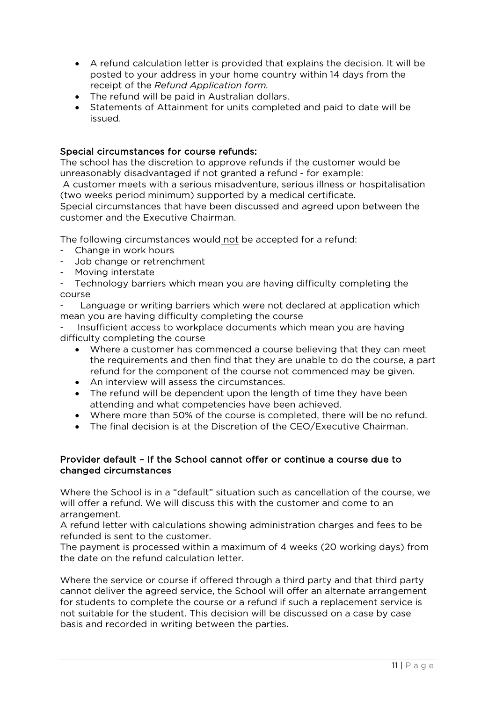- A refund calculation letter is provided that explains the decision. It will be posted to your address in your home country within 14 days from the receipt of the *Refund Application form.*
- The refund will be paid in Australian dollars.
- Statements of Attainment for units completed and paid to date will be issued.

#### Special circumstances for course refunds:

The school has the discretion to approve refunds if the customer would be unreasonably disadvantaged if not granted a refund - for example:

A customer meets with a serious misadventure, serious illness or hospitalisation (two weeks period minimum) supported by a medical certificate.

Special circumstances that have been discussed and agreed upon between the customer and the Executive Chairman.

The following circumstances would not be accepted for a refund:

- Change in work hours
- Job change or retrenchment
- Moving interstate
- Technology barriers which mean you are having difficulty completing the course

Language or writing barriers which were not declared at application which mean you are having difficulty completing the course

Insufficient access to workplace documents which mean you are having difficulty completing the course

- Where a customer has commenced a course believing that they can meet the requirements and then find that they are unable to do the course, a part refund for the component of the course not commenced may be given.
- An interview will assess the circumstances.
- The refund will be dependent upon the length of time they have been attending and what competencies have been achieved.
- Where more than 50% of the course is completed, there will be no refund.
- The final decision is at the Discretion of the CEO/Executive Chairman.

#### Provider default – If the School cannot offer or continue a course due to changed circumstances

Where the School is in a "default" situation such as cancellation of the course, we will offer a refund. We will discuss this with the customer and come to an arrangement.

A refund letter with calculations showing administration charges and fees to be refunded is sent to the customer.

The payment is processed within a maximum of 4 weeks (20 working days) from the date on the refund calculation letter.

Where the service or course if offered through a third party and that third party cannot deliver the agreed service, the School will offer an alternate arrangement for students to complete the course or a refund if such a replacement service is not suitable for the student. This decision will be discussed on a case by case basis and recorded in writing between the parties.